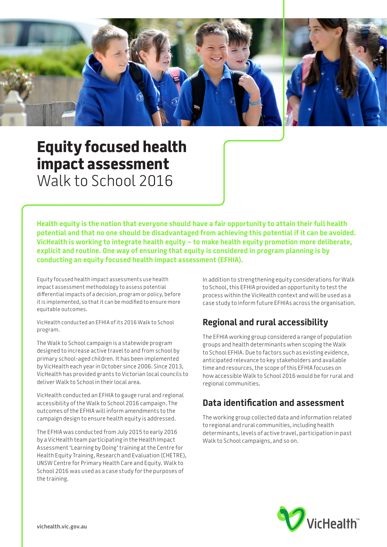

# **Equity focused health impact assessment**  Walk to School 2016

**Health equity is the notion that everyone should have a fair opportunity to attain their full health potential and that no one should be disadvantaged from achieving this potential if it can be avoided. VicHealth is working to integrate health equity – to make health equity promotion more deliberate, explicit and routine. One way of ensuring that equity is considered in program planning is by conducting an equity focused health impact assessment (EFHIA).** 

Equity focused health impact assessments use health impact assessment methodology to assess potential differential impacts of a decision, program or policy, before it is implemented, so that it can be modified to ensure more equitable outcomes.

VicHealth conducted an EFHIA of its 2016 Walk to School program.

The Walk to School campaign is a statewide program designed to increase active travel to and from school by primary school-aged children. It has been implemented by VicHealth each year in October since 2006. Since 2013, VicHealth has provided grants to Victorian local councils to deliver Walk to School in their local area.

VicHealth conducted an EFHIA to gauge rural and regional accessibility of the Walk to School 2016 campaign. The outcomes of the EFHIA will inform amendments to the campaign design to ensure health equity is addressed.

The EFHIA was conducted from July 2015 to early 2016 by a VicHealth team participating in the Health Impact Assessment 'Learning by Doing' training at the Centre for Health Equity Training, Research and Evaluation (CHETRE), UNSW Centre for Primary Health Care and Equity. Walk to School 2016 was used as a case study for the purposes of the training.

In addition to strengthening equity considerations for Walk to School, this EFHIA provided an opportunity to test the process within the VicHealth context and will be used as a case study to inform future EFHIAs across the organisation.

## **Regional and rural accessibility**

The EFHIA working group considered a range of population groups and health determinants when scoping the Walk to School EFHIA. Due to factors such as existing evidence, anticipated relevance to key stakeholders and available time and resources, the scope of this EFHIA focuses on how accessible Walk to School 2016 would be for rural and regional communities.

## **Data identification and assessment**

The working group collected data and information related to regional and rural communities, including health determinants, levels of active travel, participation in past Walk to School campaigns, and so on.